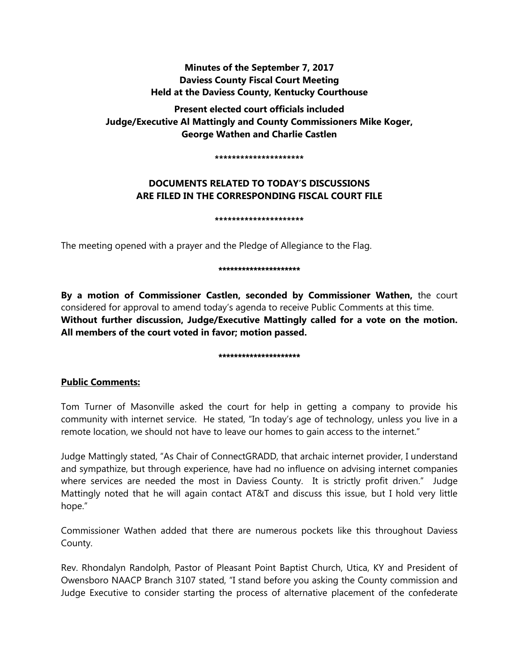# **Minutes of the September 7, 2017 Daviess County Fiscal Court Meeting Held at the Daviess County, Kentucky Courthouse**

**Present elected court officials included Judge/Executive Al Mattingly and County Commissioners Mike Koger, George Wathen and Charlie Castlen** 

**\*\*\*\*\*\*\*\*\*\*\*\*\*\*\*\*\*\*\*\*\***

# **DOCUMENTS RELATED TO TODAY'S DISCUSSIONS ARE FILED IN THE CORRESPONDING FISCAL COURT FILE**

**\*\*\*\*\*\*\*\*\*\*\*\*\*\*\*\*\*\*\*\*\***

The meeting opened with a prayer and the Pledge of Allegiance to the Flag.

#### \*\*\*\*\*\*\*\*\*\*\*\*\*\*\*\*\*\*\*\*

**By a motion of Commissioner Castlen, seconded by Commissioner Wathen,** the court considered for approval to amend today's agenda to receive Public Comments at this time. **Without further discussion, Judge/Executive Mattingly called for a vote on the motion. All members of the court voted in favor; motion passed.** 

# \*\*\*\*\*\*\*\*\*\*\*\*\*\*\*\*\*\*\*\*\*

# **Public Comments:**

Tom Turner of Masonville asked the court for help in getting a company to provide his community with internet service. He stated, "In today's age of technology, unless you live in a remote location, we should not have to leave our homes to gain access to the internet."

Judge Mattingly stated, "As Chair of ConnectGRADD, that archaic internet provider, I understand and sympathize, but through experience, have had no influence on advising internet companies where services are needed the most in Daviess County. It is strictly profit driven." Judge Mattingly noted that he will again contact AT&T and discuss this issue, but I hold very little hope."

Commissioner Wathen added that there are numerous pockets like this throughout Daviess County.

Rev. Rhondalyn Randolph, Pastor of Pleasant Point Baptist Church, Utica, KY and President of Owensboro NAACP Branch 3107 stated, "I stand before you asking the County commission and Judge Executive to consider starting the process of alternative placement of the confederate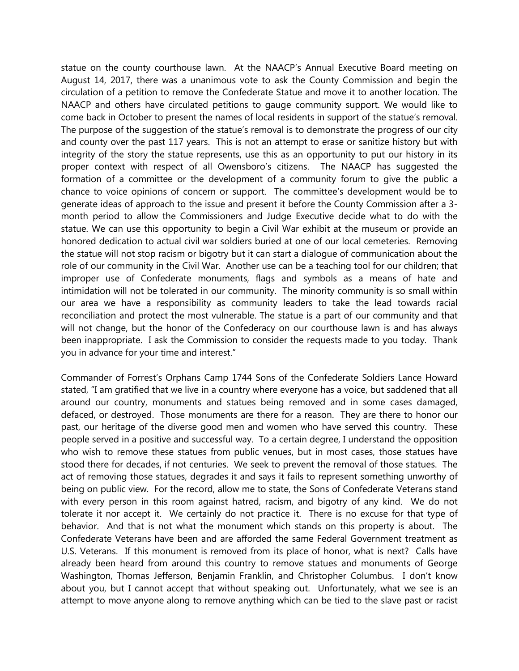statue on the county courthouse lawn. At the NAACP's Annual Executive Board meeting on August 14, 2017, there was a unanimous vote to ask the County Commission and begin the circulation of a petition to remove the Confederate Statue and move it to another location. The NAACP and others have circulated petitions to gauge community support. We would like to come back in October to present the names of local residents in support of the statue's removal. The purpose of the suggestion of the statue's removal is to demonstrate the progress of our city and county over the past 117 years. This is not an attempt to erase or sanitize history but with integrity of the story the statue represents, use this as an opportunity to put our history in its proper context with respect of all Owensboro's citizens. The NAACP has suggested the formation of a committee or the development of a community forum to give the public a chance to voice opinions of concern or support. The committee's development would be to generate ideas of approach to the issue and present it before the County Commission after a 3 month period to allow the Commissioners and Judge Executive decide what to do with the statue. We can use this opportunity to begin a Civil War exhibit at the museum or provide an honored dedication to actual civil war soldiers buried at one of our local cemeteries. Removing the statue will not stop racism or bigotry but it can start a dialogue of communication about the role of our community in the Civil War. Another use can be a teaching tool for our children; that improper use of Confederate monuments, flags and symbols as a means of hate and intimidation will not be tolerated in our community. The minority community is so small within our area we have a responsibility as community leaders to take the lead towards racial reconciliation and protect the most vulnerable. The statue is a part of our community and that will not change, but the honor of the Confederacy on our courthouse lawn is and has always been inappropriate. I ask the Commission to consider the requests made to you today. Thank you in advance for your time and interest."

Commander of Forrest's Orphans Camp 1744 Sons of the Confederate Soldiers Lance Howard stated, "I am gratified that we live in a country where everyone has a voice, but saddened that all around our country, monuments and statues being removed and in some cases damaged, defaced, or destroyed. Those monuments are there for a reason. They are there to honor our past, our heritage of the diverse good men and women who have served this country. These people served in a positive and successful way. To a certain degree, I understand the opposition who wish to remove these statues from public venues, but in most cases, those statues have stood there for decades, if not centuries. We seek to prevent the removal of those statues. The act of removing those statues, degrades it and says it fails to represent something unworthy of being on public view. For the record, allow me to state, the Sons of Confederate Veterans stand with every person in this room against hatred, racism, and bigotry of any kind. We do not tolerate it nor accept it. We certainly do not practice it. There is no excuse for that type of behavior. And that is not what the monument which stands on this property is about. The Confederate Veterans have been and are afforded the same Federal Government treatment as U.S. Veterans. If this monument is removed from its place of honor, what is next? Calls have already been heard from around this country to remove statues and monuments of George Washington, Thomas Jefferson, Benjamin Franklin, and Christopher Columbus. I don't know about you, but I cannot accept that without speaking out. Unfortunately, what we see is an attempt to move anyone along to remove anything which can be tied to the slave past or racist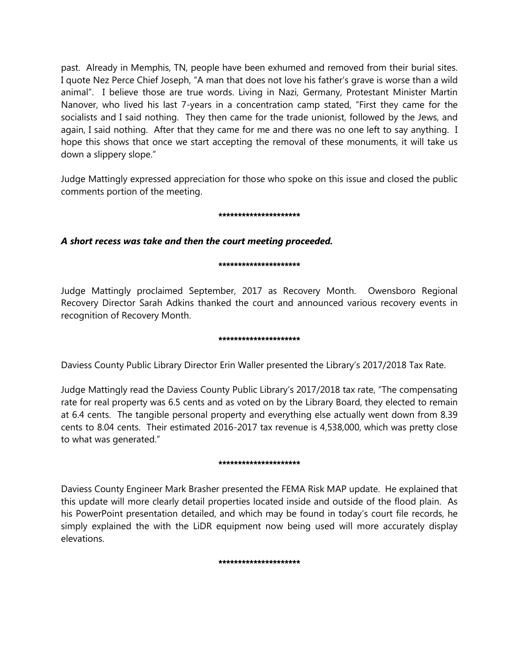past. Already in Memphis, TN, people have been exhumed and removed from their burial sites. I quote Nez Perce Chief Joseph, "A man that does not love his father's grave is worse than a wild animal". I believe those are true words. Living in Nazi, Germany, Protestant Minister Martin Nanover, who lived his last 7-years in a concentration camp stated, "First they came for the socialists and I said nothing. They then came for the trade unionist, followed by the Jews, and again, I said nothing. After that they came for me and there was no one left to say anything. I hope this shows that once we start accepting the removal of these monuments, it will take us down a slippery slope."

Judge Mattingly expressed appreciation for those who spoke on this issue and closed the public comments portion of the meeting.

# \*\*\*\*\*\*\*\*\*\*\*\*\*\*\*\*\*\*\*\*\*

# *A short recess was take and then the court meeting proceeded.*

# \*\*\*\*\*\*\*\*\*\*\*\*\*\*\*\*\*\*\*\*

Judge Mattingly proclaimed September, 2017 as Recovery Month. Owensboro Regional Recovery Director Sarah Adkins thanked the court and announced various recovery events in recognition of Recovery Month.

# \*\*\*\*\*\*\*\*\*\*\*\*\*\*\*\*\*\*\*\*

Daviess County Public Library Director Erin Waller presented the Library's 2017/2018 Tax Rate.

Judge Mattingly read the Daviess County Public Library's 2017/2018 tax rate, "The compensating rate for real property was 6.5 cents and as voted on by the Library Board, they elected to remain at 6.4 cents. The tangible personal property and everything else actually went down from 8.39 cents to 8.04 cents. Their estimated 2016-2017 tax revenue is 4,538,000, which was pretty close to what was generated."

# \*\*\*\*\*\*\*\*\*\*\*\*\*\*\*\*\*\*\*

Daviess County Engineer Mark Brasher presented the FEMA Risk MAP update. He explained that this update will more clearly detail properties located inside and outside of the flood plain. As his PowerPoint presentation detailed, and which may be found in today's court file records, he simply explained the with the LiDR equipment now being used will more accurately display elevations.

\*\*\*\*\*\*\*\*\*\*\*\*\*\*\*\*\*\*\*\*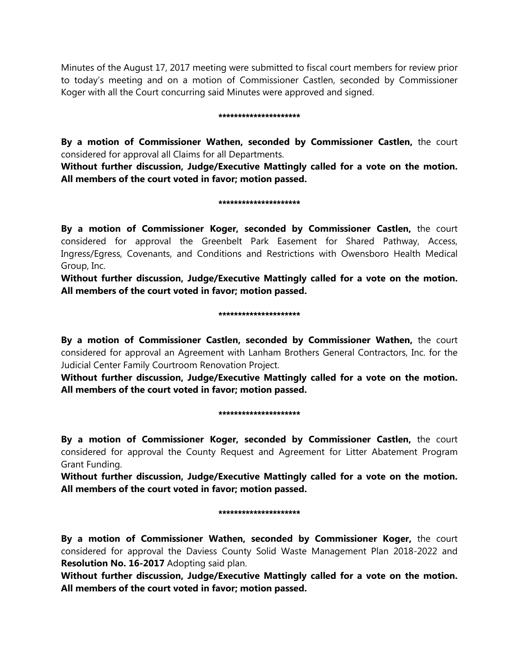Minutes of the August 17, 2017 meeting were submitted to fiscal court members for review prior to today's meeting and on a motion of Commissioner Castlen, seconded by Commissioner Koger with all the Court concurring said Minutes were approved and signed.

#### \*\*\*\*\*\*\*\*\*\*\*\*\*\*\*\*\*\*\*\*\*

**By a motion of Commissioner Wathen, seconded by Commissioner Castlen,** the court considered for approval all Claims for all Departments.

**Without further discussion, Judge/Executive Mattingly called for a vote on the motion. All members of the court voted in favor; motion passed.** 

# \*\*\*\*\*\*\*\*\*\*\*\*\*\*\*\*\*\*\*

**By a motion of Commissioner Koger, seconded by Commissioner Castlen,** the court considered for approval the Greenbelt Park Easement for Shared Pathway, Access, Ingress/Egress, Covenants, and Conditions and Restrictions with Owensboro Health Medical Group, Inc.

**Without further discussion, Judge/Executive Mattingly called for a vote on the motion. All members of the court voted in favor; motion passed.** 

# \*\*\*\*\*\*\*\*\*\*\*\*\*\*\*\*\*\*\*\*\*

**By a motion of Commissioner Castlen, seconded by Commissioner Wathen,** the court considered for approval an Agreement with Lanham Brothers General Contractors, Inc. for the Judicial Center Family Courtroom Renovation Project.

**Without further discussion, Judge/Executive Mattingly called for a vote on the motion. All members of the court voted in favor; motion passed.** 

#### \*\*\*\*\*\*\*\*\*\*\*\*\*\*\*\*\*\*\*\*

**By a motion of Commissioner Koger, seconded by Commissioner Castlen,** the court considered for approval the County Request and Agreement for Litter Abatement Program Grant Funding.

**Without further discussion, Judge/Executive Mattingly called for a vote on the motion. All members of the court voted in favor; motion passed.** 

# \*\*\*\*\*\*\*\*\*\*\*\*\*\*\*\*\*\*\*\*\*

**By a motion of Commissioner Wathen, seconded by Commissioner Koger,** the court considered for approval the Daviess County Solid Waste Management Plan 2018-2022 and **Resolution No. 16-2017** Adopting said plan.

**Without further discussion, Judge/Executive Mattingly called for a vote on the motion. All members of the court voted in favor; motion passed.**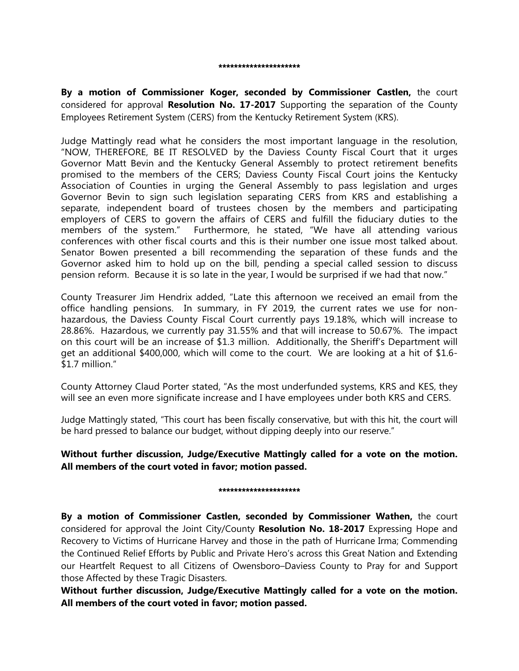#### \*\*\*\*\*\*\*\*\*\*\*\*\*\*\*\*\*\*\*\*\*

**By a motion of Commissioner Koger, seconded by Commissioner Castlen,** the court considered for approval **Resolution No. 17-2017** Supporting the separation of the County Employees Retirement System (CERS) from the Kentucky Retirement System (KRS).

Judge Mattingly read what he considers the most important language in the resolution, "NOW, THEREFORE, BE IT RESOLVED by the Daviess County Fiscal Court that it urges Governor Matt Bevin and the Kentucky General Assembly to protect retirement benefits promised to the members of the CERS; Daviess County Fiscal Court joins the Kentucky Association of Counties in urging the General Assembly to pass legislation and urges Governor Bevin to sign such legislation separating CERS from KRS and establishing a separate, independent board of trustees chosen by the members and participating employers of CERS to govern the affairs of CERS and fulfill the fiduciary duties to the members of the system." Furthermore, he stated, "We have all attending various conferences with other fiscal courts and this is their number one issue most talked about. Senator Bowen presented a bill recommending the separation of these funds and the Governor asked him to hold up on the bill, pending a special called session to discuss pension reform. Because it is so late in the year, I would be surprised if we had that now."

County Treasurer Jim Hendrix added, "Late this afternoon we received an email from the office handling pensions. In summary, in FY 2019, the current rates we use for nonhazardous, the Daviess County Fiscal Court currently pays 19.18%, which will increase to 28.86%. Hazardous, we currently pay 31.55% and that will increase to 50.67%. The impact on this court will be an increase of \$1.3 million. Additionally, the Sheriff's Department will get an additional \$400,000, which will come to the court. We are looking at a hit of \$1.6- \$1.7 million."

County Attorney Claud Porter stated, "As the most underfunded systems, KRS and KES, they will see an even more significate increase and I have employees under both KRS and CERS.

Judge Mattingly stated, "This court has been fiscally conservative, but with this hit, the court will be hard pressed to balance our budget, without dipping deeply into our reserve."

**Without further discussion, Judge/Executive Mattingly called for a vote on the motion. All members of the court voted in favor; motion passed.** 

#### \*\*\*\*\*\*\*\*\*\*\*\*\*\*\*\*\*\*\*

**By a motion of Commissioner Castlen, seconded by Commissioner Wathen,** the court considered for approval the Joint City/County **Resolution No. 18-2017** Expressing Hope and Recovery to Victims of Hurricane Harvey and those in the path of Hurricane Irma; Commending the Continued Relief Efforts by Public and Private Hero's across this Great Nation and Extending our Heartfelt Request to all Citizens of Owensboro–Daviess County to Pray for and Support those Affected by these Tragic Disasters.

**Without further discussion, Judge/Executive Mattingly called for a vote on the motion. All members of the court voted in favor; motion passed.**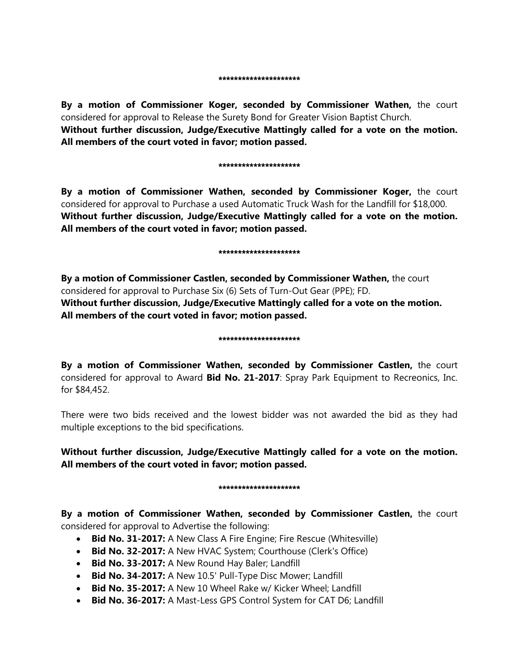**By a motion of Commissioner Koger, seconded by Commissioner Wathen,** the court considered for approval to Release the Surety Bond for Greater Vision Baptist Church. **Without further discussion, Judge/Executive Mattingly called for a vote on the motion. All members of the court voted in favor; motion passed.** 

#### \*\*\*\*\*\*\*\*\*\*\*\*\*\*\*\*\*\*\*\*

**By a motion of Commissioner Wathen, seconded by Commissioner Koger,** the court considered for approval to Purchase a used Automatic Truck Wash for the Landfill for \$18,000. **Without further discussion, Judge/Executive Mattingly called for a vote on the motion. All members of the court voted in favor; motion passed.** 

#### \*\*\*\*\*\*\*\*\*\*\*\*\*\*\*\*\*\*\*\*\*

**By a motion of Commissioner Castlen, seconded by Commissioner Wathen,** the court considered for approval to Purchase Six (6) Sets of Turn-Out Gear (PPE); FD. **Without further discussion, Judge/Executive Mattingly called for a vote on the motion. All members of the court voted in favor; motion passed.** 

#### \*\*\*\*\*\*\*\*\*\*\*\*\*\*\*\*\*\*\*\*

**By a motion of Commissioner Wathen, seconded by Commissioner Castlen,** the court considered for approval to Award **Bid No. 21-2017**: Spray Park Equipment to Recreonics, Inc. for \$84,452.

There were two bids received and the lowest bidder was not awarded the bid as they had multiple exceptions to the bid specifications.

**Without further discussion, Judge/Executive Mattingly called for a vote on the motion. All members of the court voted in favor; motion passed.** 

# \*\*\*\*\*\*\*\*\*\*\*\*\*\*\*\*\*\*\*

**By a motion of Commissioner Wathen, seconded by Commissioner Castlen,** the court considered for approval to Advertise the following:

- **Bid No. 31-2017:** A New Class A Fire Engine; Fire Rescue (Whitesville)
- **Bid No. 32-2017:** A New HVAC System; Courthouse (Clerk's Office)
- **Bid No. 33-2017:** A New Round Hay Baler; Landfill
- **Bid No. 34-2017:** A New 10.5' Pull-Type Disc Mower; Landfill
- **Bid No. 35-2017:** A New 10 Wheel Rake w/ Kicker Wheel; Landfill
- **Bid No. 36-2017:** A Mast-Less GPS Control System for CAT D6; Landfill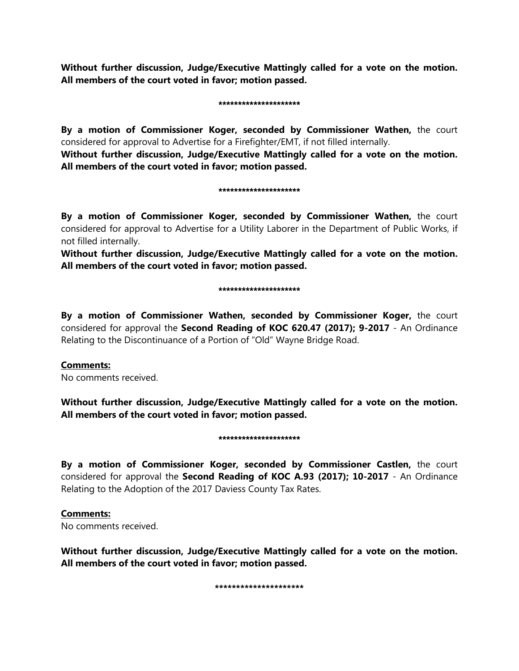**Without further discussion, Judge/Executive Mattingly called for a vote on the motion. All members of the court voted in favor; motion passed.** 

### \*\*\*\*\*\*\*\*\*\*\*\*\*\*\*\*\*\*\*\*\*

**By a motion of Commissioner Koger, seconded by Commissioner Wathen,** the court considered for approval to Advertise for a Firefighter/EMT, if not filled internally.

**Without further discussion, Judge/Executive Mattingly called for a vote on the motion. All members of the court voted in favor; motion passed.** 

#### \*\*\*\*\*\*\*\*\*\*\*\*\*\*\*\*\*\*\*\*\*

**By a motion of Commissioner Koger, seconded by Commissioner Wathen,** the court considered for approval to Advertise for a Utility Laborer in the Department of Public Works, if not filled internally.

**Without further discussion, Judge/Executive Mattingly called for a vote on the motion. All members of the court voted in favor; motion passed.** 

#### \*\*\*\*\*\*\*\*\*\*\*\*\*\*\*\*\*\*\*

**By a motion of Commissioner Wathen, seconded by Commissioner Koger,** the court considered for approval the **Second Reading of KOC 620.47 (2017); 9-2017** - An Ordinance Relating to the Discontinuance of a Portion of "Old" Wayne Bridge Road.

# **Comments:**

No comments received.

**Without further discussion, Judge/Executive Mattingly called for a vote on the motion. All members of the court voted in favor; motion passed.** 

# \*\*\*\*\*\*\*\*\*\*\*\*\*\*\*\*\*\*\*\*\*

**By a motion of Commissioner Koger, seconded by Commissioner Castlen,** the court considered for approval the **Second Reading of KOC A.93 (2017); 10-2017** - An Ordinance Relating to the Adoption of the 2017 Daviess County Tax Rates.

# **Comments:**

No comments received.

**Without further discussion, Judge/Executive Mattingly called for a vote on the motion. All members of the court voted in favor; motion passed.** 

**\*\*\*\*\*\*\*\*\*\*\*\*\*\*\*\*\*\*\*\*\***